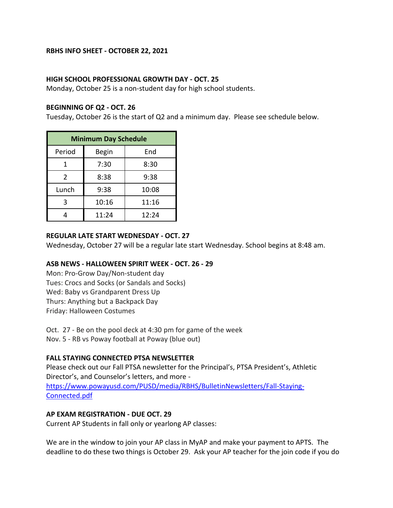#### **RBHS INFO SHEET - OCTOBER 22, 2021**

#### **HIGH SCHOOL PROFESSIONAL GROWTH DAY - OCT. 25**

Monday, October 25 is a non-student day for high school students.

#### **BEGINNING OF Q2 - OCT. 26**

Tuesday, October 26 is the start of Q2 and a minimum day. Please see schedule below.

| <b>Minimum Day Schedule</b> |              |       |
|-----------------------------|--------------|-------|
| Period                      | <b>Begin</b> | End   |
|                             | 7:30         | 8:30  |
| $\overline{2}$              | 8:38         | 9:38  |
| Lunch                       | 9:38         | 10:08 |
| 3                           | 10:16        | 11:16 |
|                             | 11:24        | 12:24 |

#### **REGULAR LATE START WEDNESDAY - OCT. 27**

Wednesday, October 27 will be a regular late start Wednesday. School begins at 8:48 am.

#### **ASB NEWS - HALLOWEEN SPIRIT WEEK - OCT. 26 - 29**

Mon: Pro-Grow Day/Non-student day Tues: Crocs and Socks (or Sandals and Socks) Wed: Baby vs Grandparent Dress Up Thurs: Anything but a Backpack Day Friday: Halloween Costumes

Oct. 27 - Be on the pool deck at 4:30 pm for game of the week Nov. 5 - RB vs Poway football at Poway (blue out)

#### **FALL STAYING CONNECTED PTSA NEWSLETTER**

Please check out our Fall PTSA newsletter for the Principal's, PTSA President's, Athletic Director's, and Counselor's letters, and more [https://www.powayusd.com/PUSD/media/RBHS/BulletinNewsletters/Fall-Staying-](https://www.powayusd.com/PUSD/media/RBHS/BulletinNewsletters/Fall-Staying-Connected.pdf)[Connected.pdf](https://www.powayusd.com/PUSD/media/RBHS/BulletinNewsletters/Fall-Staying-Connected.pdf)

#### **AP EXAM REGISTRATION - DUE OCT. 29**

Current AP Students in fall only or yearlong AP classes:

We are in the window to join your AP class in MyAP and make your payment to APTS. The deadline to do these two things is October 29. Ask your AP teacher for the join code if you do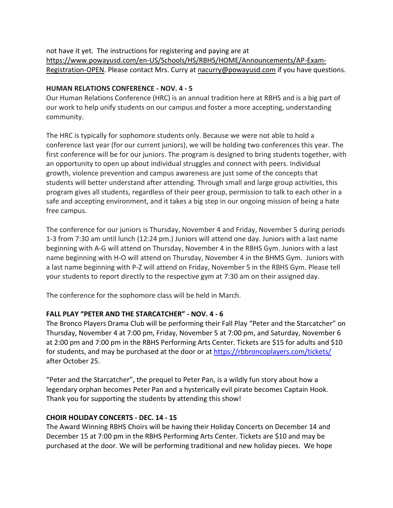not have it yet. The instructions for registering and paying are at [https://www.powayusd.com/en-US/Schools/HS/RBHS/HOME/Announcements/AP-Exam-](https://www.powayusd.com/en-US/Schools/HS/RBHS/HOME/Announcements/AP-Exam-Registration-OPEN)[Registration-OPEN.](https://www.powayusd.com/en-US/Schools/HS/RBHS/HOME/Announcements/AP-Exam-Registration-OPEN) Please contact Mrs. Curry at [nacurry@powayusd.com](mailto:nacurry@powayusd.com) if you have questions.

#### **HUMAN RELATIONS CONFERENCE - NOV. 4 - 5**

Our Human Relations Conference (HRC) is an annual tradition here at RBHS and is a big part of our work to help unify students on our campus and foster a more accepting, understanding community.

The HRC is typically for sophomore students only. Because we were not able to hold a conference last year (for our current juniors), we will be holding two conferences this year. The first conference will be for our juniors. The program is designed to bring students together, with an opportunity to open up about individual struggles and connect with peers. Individual growth, violence prevention and campus awareness are just some of the concepts that students will better understand after attending. Through small and large group activities, this program gives all students, regardless of their peer group, permission to talk to each other in a safe and accepting environment, and it takes a big step in our ongoing mission of being a hate free campus.

The conference for our juniors is Thursday, November 4 and Friday, November 5 during periods 1-3 from 7:30 am until lunch (12:24 pm.) Juniors will attend one day. Juniors with a last name beginning with A-G will attend on Thursday, November 4 in the RBHS Gym. Juniors with a last name beginning with H-O will attend on Thursday, November 4 in the BHMS Gym. Juniors with a last name beginning with P-Z will attend on Friday, November 5 in the RBHS Gym. Please tell your students to report directly to the respective gym at 7:30 am on their assigned day.

The conference for the sophomore class will be held in March.

# **FALL PLAY "PETER AND THE STARCATCHER" - NOV. 4 - 6**

The Bronco Players Drama Club will be performing their Fall Play "Peter and the Starcatcher" on Thursday, November 4 at 7:00 pm, Friday, November 5 at 7:00 pm, and Saturday, November 6 at 2:00 pm and 7:00 pm in the RBHS Performing Arts Center. Tickets are \$15 for adults and \$10 for students, and may be purchased at the door or at<https://rbbroncoplayers.com/tickets/> after October 25.

"Peter and the Starcatcher", the prequel to Peter Pan, is a wildly fun story about how a legendary orphan becomes Peter Pan and a hysterically evil pirate becomes Captain Hook. Thank you for supporting the students by attending this show!

### **CHOIR HOLIDAY CONCERTS - DEC. 14 - 15**

The Award Winning RBHS Choirs will be having their Holiday Concerts on December 14 and December 15 at 7:00 pm in the RBHS Performing Arts Center. Tickets are \$10 and may be purchased at the door. We will be performing traditional and new holiday pieces. We hope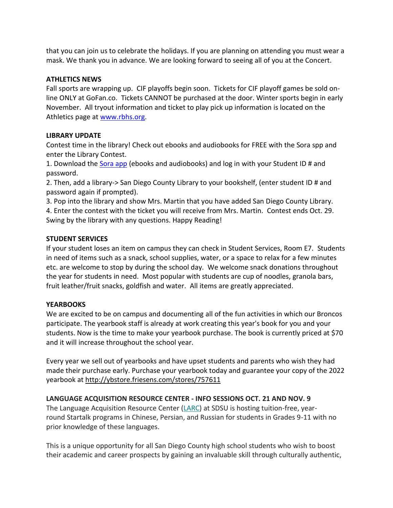that you can join us to celebrate the holidays. If you are planning on attending you must wear a mask. We thank you in advance. We are looking forward to seeing all of you at the Concert.

#### **ATHLETICS NEWS**

Fall sports are wrapping up. CIF playoffs begin soon. Tickets for CIF playoff games be sold online ONLY at GoFan.co. Tickets CANNOT be purchased at the door. Winter sports begin in early November. All tryout information and ticket to play pick up information is located on the Athletics page at [www.rbhs.org.](http://www.rbhs.org/)

### **LIBRARY UPDATE**

Contest time in the library! Check out ebooks and audiobooks for FREE with the Sora spp and enter the Library Contest.

1. Download the [Sora app](http://soraapp.com/library/powayca) (ebooks and audiobooks) and log in with your Student ID # and password.

2. Then, add a library-> San Diego County Library to your bookshelf, (enter student ID # and password again if prompted).

3. Pop into the library and show Mrs. Martin that you have added San Diego County Library. 4. Enter the contest with the ticket you will receive from Mrs. Martin. Contest ends Oct. 29. Swing by the library with any questions. Happy Reading!

#### **STUDENT SERVICES**

If your student loses an item on campus they can check in Student Services, Room E7. Students in need of items such as a snack, school supplies, water, or a space to relax for a few minutes etc. are welcome to stop by during the school day. We welcome snack donations throughout the year for students in need. Most popular with students are cup of noodles, granola bars, fruit leather/fruit snacks, goldfish and water. All items are greatly appreciated.

#### **YEARBOOKS**

We are excited to be on campus and documenting all of the fun activities in which our Broncos participate. The yearbook staff is already at work creating this year's book for you and your students. Now is the time to make your yearbook purchase. The book is currently priced at \$70 and it will increase throughout the school year.

Every year we sell out of yearbooks and have upset students and parents who wish they had made their purchase early. Purchase your yearbook today and guarantee your copy of the 2022 yearbook at <http://ybstore.friesens.com/stores/757611>

### **LANGUAGE ACQUISITION RESOURCE CENTER - INFO SESSIONS OCT. 21 AND NOV. 9**

The Language Acquisition Resource Center [\(LARC\)](https://nam04.safelinks.protection.outlook.com/?url=https%3A%2F%2Flarc.sdsu.edu%2F&data=04%7C01%7Cevangelina.pando%40sdcoe.net%7C1787552554e64eadcefb08d98cf8ea27%7Cfd6cc79e7b6944d0b8cdaf4a102bd0d6%7C1%7C0%7C637695823911477044%7CUnknown%7CTWFpbGZsb3d8eyJWIjoiMC4wLjAwMDAiLCJQIjoiV2luMzIiLCJBTiI6Ik1haWwiLCJXVCI6Mn0%3D%7C1000&sdata=QfherewLnewxYzWRJLPjygtiSryXfPnavZL%2BNQeuUJU%3D&reserved=0) at SDSU is hosting tuition-free, yearround Startalk programs in Chinese, Persian, and Russian for students in Grades 9-11 with no prior knowledge of these languages.

This is a unique opportunity for all San Diego County high school students who wish to boost their academic and career prospects by gaining an invaluable skill through culturally authentic,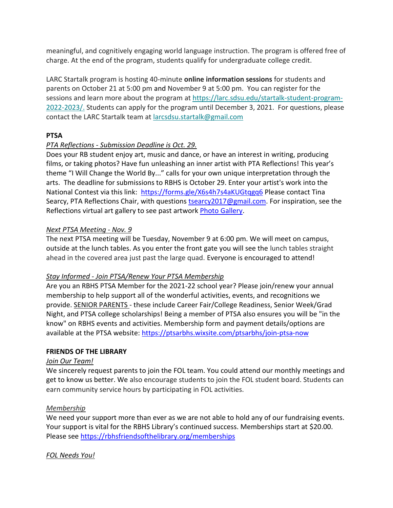meaningful, and cognitively engaging world language instruction. The program is offered free of charge. At the end of the program, students qualify for undergraduate college credit.

LARC Startalk program is hosting 40-minute **online information sessions** for students and parents on October 21 at 5:00 pm and November 9 at 5:00 pm. You can register for the sessions and learn more about the program at [https://larc.sdsu.edu/startalk-student-program-](https://nam04.safelinks.protection.outlook.com/?url=https%3A%2F%2Flarc.sdsu.edu%2Fstartalk-student-program-2022-2023%2F&data=04%7C01%7Cevangelina.pando%40sdcoe.net%7C1787552554e64eadcefb08d98cf8ea27%7Cfd6cc79e7b6944d0b8cdaf4a102bd0d6%7C1%7C0%7C637695823911477044%7CUnknown%7CTWFpbGZsb3d8eyJWIjoiMC4wLjAwMDAiLCJQIjoiV2luMzIiLCJBTiI6Ik1haWwiLCJXVCI6Mn0%3D%7C1000&sdata=9OAMRsNOLo38j1NqmMK7Rms%2FyAkdW6CzK8Ob%2FrV5ndk%3D&reserved=0)[2022-2023/.](https://nam04.safelinks.protection.outlook.com/?url=https%3A%2F%2Flarc.sdsu.edu%2Fstartalk-student-program-2022-2023%2F&data=04%7C01%7Cevangelina.pando%40sdcoe.net%7C1787552554e64eadcefb08d98cf8ea27%7Cfd6cc79e7b6944d0b8cdaf4a102bd0d6%7C1%7C0%7C637695823911477044%7CUnknown%7CTWFpbGZsb3d8eyJWIjoiMC4wLjAwMDAiLCJQIjoiV2luMzIiLCJBTiI6Ik1haWwiLCJXVCI6Mn0%3D%7C1000&sdata=9OAMRsNOLo38j1NqmMK7Rms%2FyAkdW6CzK8Ob%2FrV5ndk%3D&reserved=0) Students can apply for the program until December 3, 2021. For questions, please contact the LARC Startalk team at [larcsdsu.startalk@gmail.com](mailto:larcsdsu.startalk@gmail.com)

### **PTSA**

## *PTA Reflections - Submission Deadline is Oct. 29.*

Does your RB student enjoy art, music and dance, or have an interest in writing, producing films, or taking photos? Have fun unleashing an inner artist with PTA Reflections! This year's theme "I Will Change the World By..." calls for your own unique interpretation through the arts. The deadline for submissions to RBHS is October 29. Enter your artist's work into the National Contest via this link: [https://forms.gle/X6s4h7s4aKUGtqgq6](https://linkprotect.cudasvc.com/url?a=https%3a%2f%2fforms.gle%2fX6s4h7s4aKUGtqgq6&c=E,1,LavZsFzzfdyg-U5yA9AVd4O06ki1lxZVdZpwlrVByMDDUFRjaZ2FQPHTm3s3JbgoyaPCKiAz_2Vbw7ynXGHJbHrxRsFhQLsbOzVIiTj4iwVZrg,,&typo=0) Please contact Tina Searcy, PTA Reflections Chair, with questions [tsearcy2017@gmail.com.](mailto:tsearcy2017@gmail.com) For inspiration, see the Reflections virtual art gallery to see past artwork [Photo Gallery.](https://www.flickr.com/photos/nationalpta/albums/72157719143438458/with/51171435423/)

## *Next PTSA Meeting - Nov. 9*

The next PTSA meeting will be Tuesday, November 9 at 6:00 pm. We will meet on campus, outside at the lunch tables. As you enter the front gate you will see the lunch tables straight ahead in the covered area just past the large quad. Everyone is encouraged to attend!

### *Stay Informed - Join PTSA/Renew Your PTSA Membership*

Are you an RBHS PTSA Member for the 2021-22 school year? Please join/renew your annual membership to help support all of the wonderful activities, events, and recognitions we provide. SENIOR PARENTS - these include Career Fair/College Readiness, Senior Week/Grad Night, and PTSA college scholarships! Being a member of PTSA also ensures you will be "in the know" on RBHS events and activities. Membership form and payment details/options are available at the PTSA website: [https://ptsarbhs.wixsite.com/ptsarbhs/join-ptsa-now](https://linkprotect.cudasvc.com/url?a=https%3a%2f%2fptsarbhs.wixsite.com%2fptsarbhs%2fjoin-ptsa-now&c=E,1,enDTtamlJiZSOyGtBTMIBcNCPbTwpzmjUu79AqwD58h2uJDDrdud1Xygq_FQqKKphnUt6xQ2DMMll6l0kiYo4Xki0bOarX-eKtYV-_BbKUrzinpkT6p7fS5a&typo=0)

### **FRIENDS OF THE LIBRARY**

### *Join Our Team!*

We sincerely request parents to join the FOL team. You could attend our monthly meetings and get to know us better. We also encourage students to join the FOL student board. Students can earn community service hours by participating in FOL activities.

### *Membership*

We need your support more than ever as we are not able to hold any of our fundraising events. Your support is vital for the RBHS Library's continued success. Memberships start at \$20.00. Please see [https://rbhsfriendsofthelibrary.org/memberships](https://linkprotect.cudasvc.com/url?a=https%3a%2f%2frbhsfriendsofthelibrary.org%2fmembership&c=E,1,ACkmCTTYAIvZTNxVTJ-ShWz-o5tYxio0HfgE3iJKwecS5oraxLZuhlcFjwzObd3P32T6Ua26kNb2Q6_IbMhD4l9oRY9N16mR3HWGxIfFal5s8-WG4rM,&typo=0)

# *FOL Needs You!*